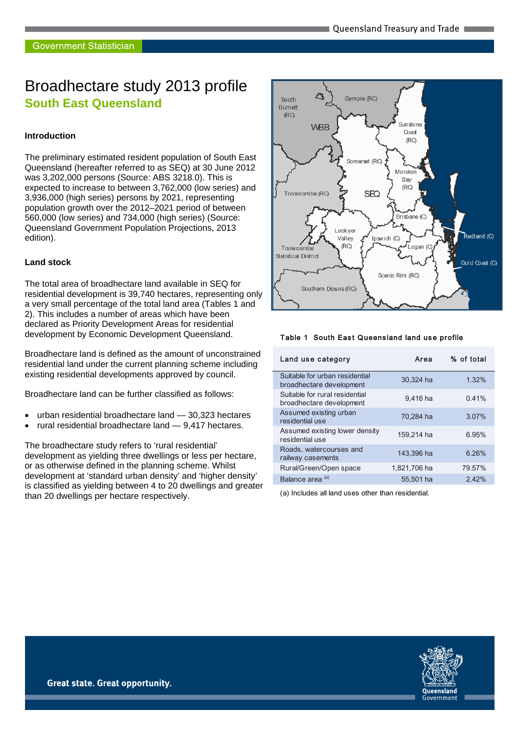# Broadhectare study 2013 profile **South East Queensland**

#### **Introduction**

The preliminary estimated resident population of South East Queensland (hereafter referred to as SEQ) at 30 June 2012 was 3,202,000 persons (Source: ABS 3218.0). This is expected to increase to between 3,762,000 (low series) and 3,936,000 (high series) persons by 2021, representing population growth over the 2012–2021 period of between 560,000 (low series) and 734,000 (high series) (Source: Queensland Government Population Projections, 2013 edition).

#### **Land stock**

The total area of broadhectare land available in SEQ for residential development is 39,740 hectares, representing only a very small percentage of the total land area (Tables 1 and 2). This includes a number of areas which have been declared as Priority Development Areas for residential development by Economic Development Queensland.

Broadhectare land is defined as the amount of unconstrained residential land under the current planning scheme including existing residential developments approved by council.

Broadhectare land can be further classified as follows:

- urban residential broadhectare land 30,323 hectares
- rural residential broadhectare land 9,417 hectares.

The broadhectare study refers to 'rural residential' development as yielding three dwellings or less per hectare, or as otherwise defined in the planning scheme. Whilst development at 'standard urban density' and 'higher density' is classified as yielding between 4 to 20 dwellings and greater than 20 dwellings per hectare respectively.



#### Table 1 South East Queensland land use profile

| Land use category                                          | Area         | % of total |
|------------------------------------------------------------|--------------|------------|
| Suitable for urban residential<br>broadhectare development | 30.324 ha    | 1.32%      |
| Suitable for rural residential<br>broadhectare development | 9.416 ha     | 0.41%      |
| Assumed existing urban<br>residential use                  | 70,284 ha    | 3.07%      |
| Assumed existing lower density<br>residential use          | 159.214 ha   | 6.95%      |
| Roads, watercourses and<br>railway casements               | 143,396 ha   | 6.26%      |
| Rural/Green/Open space                                     | 1,821,706 ha | 79.57%     |
| Balance area <sup>(a)</sup>                                | 55,501 ha    | 2.42%      |

(a) Includes all land uses other than residential.

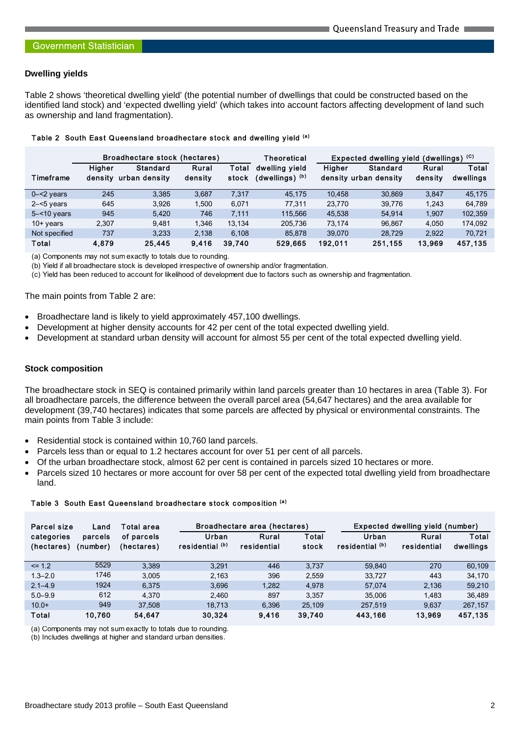#### **Dwelling yields**

Table 2 shows 'theoretical dwelling yield' (the potential number of dwellings that could be constructed based on the identified land stock) and 'expected dwelling yield' (which takes into account factors affecting development of land such as ownership and land fragmentation).

|                | Broadhectare stock (hectares) |                           |                  | Theoretical    | Expected dwelling yield (dwellings) (C) |         |                                   |                  |                    |
|----------------|-------------------------------|---------------------------|------------------|----------------|-----------------------------------------|---------|-----------------------------------|------------------|--------------------|
| Timeframe      | Higher<br>density             | Standard<br>urban density | Rural<br>density | Total<br>stock | dwelling vield<br>(dwellings) (b)       | Higher  | Standard<br>density urban density | Rural<br>density | Total<br>dwellings |
| $0 - 2$ years  | 245                           | 3.385                     | 3.687            | 7.317          | 45.175                                  | 10.458  | 30.869                            | 3.847            | 45.175             |
| $2 - 5$ years  | 645                           | 3.926                     | 1.500            | 6.071          | 77.311                                  | 23.770  | 39.776                            | 1.243            | 64.789             |
| $5 - 10$ years | 945                           | 5.420                     | 746              | 7.111          | 115.566                                 | 45,538  | 54.914                            | 1.907            | 102,359            |
| $10+$ years    | 2.307                         | 9.481                     | 1.346            | 13.134         | 205.736                                 | 73.174  | 96.867                            | 4.050            | 174,092            |
| Not specified  | 737                           | 3.233                     | 2.138            | 6.108          | 85.878                                  | 39.070  | 28.729                            | 2.922            | 70,721             |
| Total          | 4.879                         | 25,445                    | 9.416            | 39.740         | 529.665                                 | 192.011 | 251.155                           | 13.969           | 457.135            |

#### Table 2 South East Queensland broadhectare stock and dwelling yield (a)

(a) Components may not sum exactly to totals due to rounding.

(b) Yield if all broadhectare stock is developed irrespective of ownership and/or fragmentation.

(c) Yield has been reduced to account for likelihood of development due to factors such as ownership and fragmentation.

#### The main points from Table 2 are:

- Broadhectare land is likely to yield approximately 457,100 dwellings.
- Development at higher density accounts for 42 per cent of the total expected dwelling yield.
- Development at standard urban density will account for almost 55 per cent of the total expected dwelling yield.

#### **Stock composition**

The broadhectare stock in SEQ is contained primarily within land parcels greater than 10 hectares in area (Table 3). For all broadhectare parcels, the difference between the overall parcel area (54,647 hectares) and the area available for development (39,740 hectares) indicates that some parcels are affected by physical or environmental constraints. The main points from Table 3 include:

- Residential stock is contained within 10,760 land parcels.
- Parcels less than or equal to 1.2 hectares account for over 51 per cent of all parcels.
- Of the urban broadhectare stock, almost 62 per cent is contained in parcels sized 10 hectares or more.
- Parcels sized 10 hectares or more account for over 58 per cent of the expected total dwelling yield from broadhectare land.

#### Table 3 South East Queensland broadhectare stock composition (a)

| Parcel size<br>Land      |                     | Total area               |                          | Broadhectare area (hectares) |                | Expected dwelling yield (number) |                      |                    |
|--------------------------|---------------------|--------------------------|--------------------------|------------------------------|----------------|----------------------------------|----------------------|--------------------|
| categories<br>(hectares) | parcels<br>(number) | of parcels<br>(hectares) | Urban<br>residential (b) | Rural<br>residential         | Total<br>stock | Urban<br>residential (b)         | Rural<br>residential | Total<br>dwellings |
| $\leq$ 1.2               | 5529                | 3.389                    | 3.291                    | 446                          | 3.737          | 59,840                           | 270                  | 60,109             |
| $1.3 - 2.0$              | 1746                | 3.005                    | 2,163                    | 396                          | 2,559          | 33,727                           | 443                  | 34,170             |
| $2.1 - 4.9$              | 1924                | 6.375                    | 3.696                    | 1.282                        | 4.978          | 57.074                           | 2.136                | 59,210             |
| $5.0 - 9.9$              | 612                 | 4.370                    | 2.460                    | 897                          | 3.357          | 35.006                           | 1.483                | 36,489             |
| $10.0+$                  | 949                 | 37.508                   | 18.713                   | 6.396                        | 25.109         | 257.519                          | 9.637                | 267,157            |
| Total                    | 10.760              | 54,647                   | 30,324                   | 9.416                        | 39,740         | 443.166                          | 13.969               | 457,135            |

(a) Components may not sum exactly to totals due to rounding.

(b) Includes dwellings at higher and standard urban densities.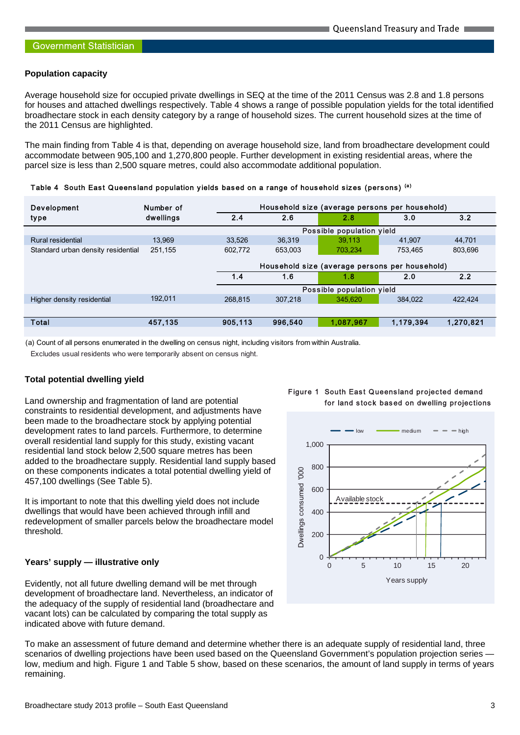#### **Population capacity**

Average household size for occupied private dwellings in SEQ at the time of the 2011 Census was 2.8 and 1.8 persons for houses and attached dwellings respectively. Table 4 shows a range of possible population yields for the total identified broadhectare stock in each density category by a range of household sizes. The current household sizes at the time of the 2011 Census are highlighted.

The main finding from Table 4 is that, depending on average household size, land from broadhectare development could accommodate between 905,100 and 1,270,800 people. Further development in existing residential areas, where the parcel size is less than 2,500 square metres, could also accommodate additional population.

| <b>Development</b>                 | Number of | Household size (average persons per household) |         |           |           |           |  |
|------------------------------------|-----------|------------------------------------------------|---------|-----------|-----------|-----------|--|
| type                               | dwellings | 2.4                                            | 2.6     | 2.8       | 3.0       | 3.2       |  |
|                                    |           | Possible population yield                      |         |           |           |           |  |
| Rural residential                  | 13.969    | 33.526                                         | 36.319  | 39.113    | 41.907    | 44.701    |  |
| Standard urban density residential | 251.155   | 602.772                                        | 653.003 | 703.234   | 753.465   | 803,696   |  |
|                                    |           | Household size (average persons per household) |         |           |           |           |  |
|                                    |           | 1.4                                            | 1.6     | 1.8       | 2.0       | 2.2       |  |
|                                    |           | Possible population yield                      |         |           |           |           |  |
| Higher density residential         | 192.011   | 268.815                                        | 307.218 | 345.620   | 384.022   | 422.424   |  |
|                                    |           |                                                |         |           |           |           |  |
| <b>Total</b>                       | 457,135   | 905.113                                        | 996.540 | 1,087,967 | 1,179,394 | 1,270,821 |  |
|                                    |           |                                                |         |           |           |           |  |

Table 4 South East Queensland population yields based on a range of household sizes (persons) (a)

(a) Count of all persons enumerated in the dwelling on census night, including visitors from within Australia.

Excludes usual residents who were temporarily absent on census night.

#### **Total potential dwelling yield**

Land ownership and fragmentation of land are potential constraints to residential development, and adjustments have been made to the broadhectare stock by applying potential development rates to land parcels. Furthermore, to determine overall residential land supply for this study, existing vacant residential land stock below 2,500 square metres has been added to the broadhectare supply. Residential land supply based on these components indicates a total potential dwelling yield of 457,100 dwellings (See Table 5).

It is important to note that this dwelling yield does not include dwellings that would have been achieved through infill and redevelopment of smaller parcels below the broadhectare model threshold.

#### **Years' supply — illustrative only**

Evidently, not all future dwelling demand will be met through development of broadhectare land. Nevertheless, an indicator of the adequacy of the supply of residential land (broadhectare and vacant lots) can be calculated by comparing the total supply as indicated above with future demand.

To make an assessment of future demand and determine whether there is an adequate supply of residential land, three scenarios of dwelling projections have been used based on the Queensland Government's population projection series low, medium and high. Figure 1 and Table 5 show, based on these scenarios, the amount of land supply in terms of years remaining.



Figure 1 South East Queensland projected demand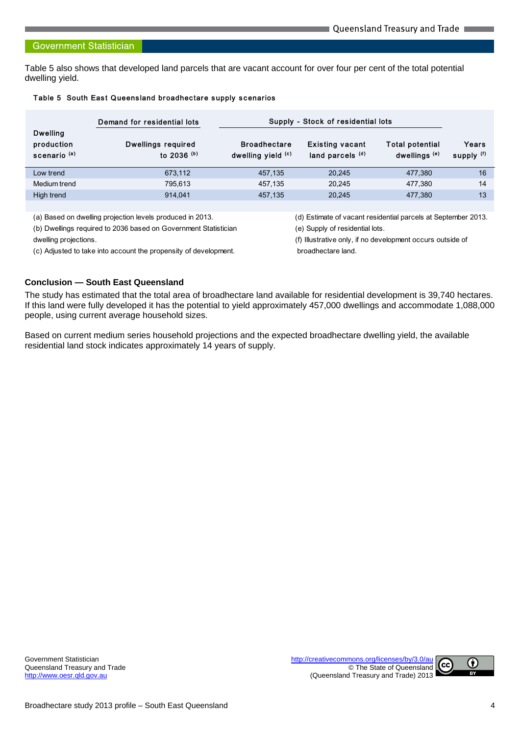# **Government Statistician**

Table 5 also shows that developed land parcels that are vacant account for over four per cent of the total potential dwelling yield.

|                                                          | Demand for residential lots                                                             |                                                               | Supply - Stock of residential lots         |                                                    |                     |
|----------------------------------------------------------|-----------------------------------------------------------------------------------------|---------------------------------------------------------------|--------------------------------------------|----------------------------------------------------|---------------------|
| <b>Dwelling</b><br>production<br>scenario <sup>(a)</sup> | <b>Dwellings required</b><br>to 2036 (b)                                                | <b>Broadhectare</b><br>dwelling yield (c)                     | <b>Existing vacant</b><br>land parcels (d) | <b>Total potential</b><br>dwellings <sup>(e)</sup> | Years<br>supply (f) |
| Low trend                                                | 673,112                                                                                 | 457,135                                                       | 20,245                                     | 477,380                                            | 16                  |
| Medium trend                                             | 795,613                                                                                 | 457.135                                                       | 20.245                                     | 477.380                                            | 14                  |
| High trend                                               | 914.041                                                                                 | 457.135                                                       | 20.245                                     | 477.380                                            | 13                  |
|                                                          |                                                                                         |                                                               |                                            |                                                    |                     |
|                                                          | (a) Based on dwelling projection levels produced in 2013.                               | (d) Estimate of vacant residential parcels at September 2013. |                                            |                                                    |                     |
|                                                          | $\left( \mathsf{L} \right)$ Durallians seminarity 2000 hoped as Coursement Clatistician | (a) Curante of social setted late                             |                                            |                                                    |                     |

### Table 5 South East Queensland broadhectare supply scenarios

(b) Dwellings required to 2036 based on Government Statistician (e) Supply of residential lots.

(c) Adjusted to take into account the propensity of development. broadhectare land.

dwelling projections. (f) Illustrative only, if no development occurs outside of

# **Conclusion — South East Queensland**

The study has estimated that the total area of broadhectare land available for residential development is 39,740 hectares. If this land were fully developed it has the potential to yield approximately 457,000 dwellings and accommodate 1,088,000 people, using current average household sizes.

Based on current medium series household projections and the expected broadhectare dwelling yield, the available residential land stock indicates approximately 14 years of supply.